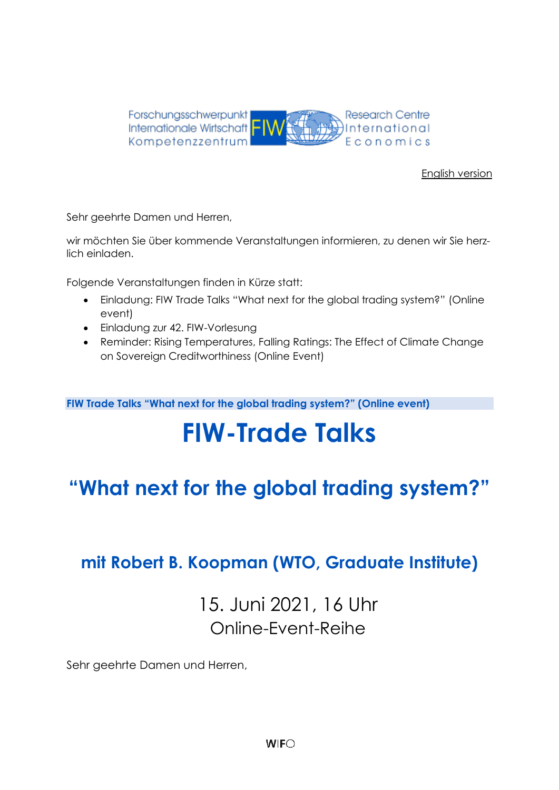

#### [English version](#page-4-0)

Sehr geehrte Damen und Herren,

wir möchten Sie über kommende Veranstaltungen informieren, zu denen wir Sie herzlich einladen.

Folgende Veranstaltungen finden in Kürze statt:

- Einladung: FIW Trade Talks "What next for the global trading system?" (Online event)
- Einladung zur 42. FIW-Vorlesung
- Reminder: Rising Temperatures, Falling Ratings: The Effect of Climate Change on Sovereign Creditworthiness (Online Event)

**FIW Trade Talks "What next for the global trading system?" (Online event)**

# **FIW-Trade Talks**

## **"What next for the global trading system?"**

### **mit Robert B. Koopman (WTO, Graduate Institute)**

### 15. Juni 2021, 16 Uhr Online-Event-Reihe

Sehr geehrte Damen und Herren,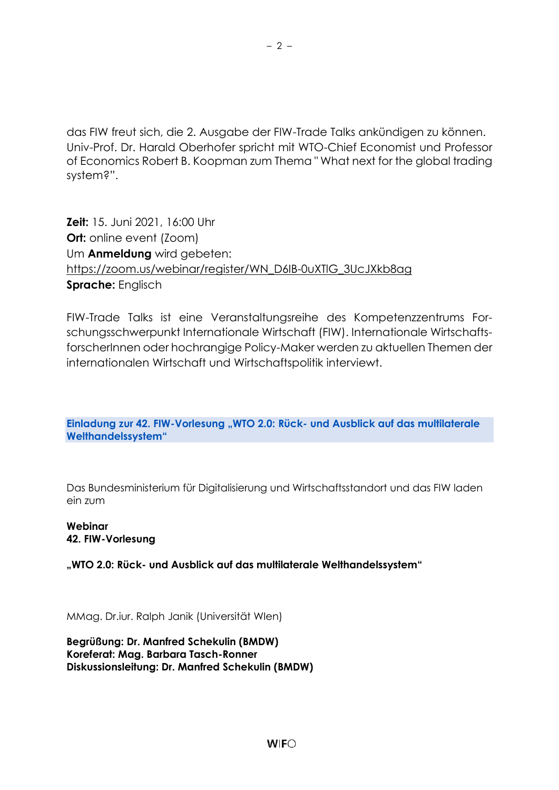das FIW freut sich, die 2. Ausgabe der FIW-Trade Talks ankündigen zu können. Univ-Prof. Dr. Harald Oberhofer spricht mit WTO-Chief Economist und Professor of Economics Robert B. Koopman zum Thema " What next for the global trading system?".

**Zeit:** 15. Juni 2021, 16:00 Uhr **Ort:** online event (Zoom) Um **Anmeldung** wird gebeten: [https://zoom.us/webinar/register/WN\\_D6IB-0uXTlG\\_3UcJXkb8ag](https://zoom.us/webinar/register/WN_D6IB-0uXTlG_3UcJXkb8ag) **Sprache:** Englisch

FIW-Trade Talks ist eine Veranstaltungsreihe des Kompetenzzentrums Forschungsschwerpunkt Internationale Wirtschaft (FIW). Internationale WirtschaftsforscherInnen oder hochrangige Policy-Maker werden zu aktuellen Themen der internationalen Wirtschaft und Wirtschaftspolitik interviewt.

**Einladung zur 42. FIW-Vorlesung "WTO 2.0: Rück- und Ausblick auf das multilaterale Welthandelssystem"**

Das Bundesministerium für Digitalisierung und Wirtschaftsstandort und das FIW laden ein zum

**Webinar 42. FIW-Vorlesung**

**"WTO 2.0: Rück- und Ausblick auf das multilaterale Welthandelssystem"** 

MMag. Dr.iur. Ralph Janik (Universität WIen)

**Begrüßung: Dr. Manfred Schekulin (BMDW) Koreferat: Mag. Barbara Tasch-Ronner Diskussionsleitung: Dr. Manfred Schekulin (BMDW)**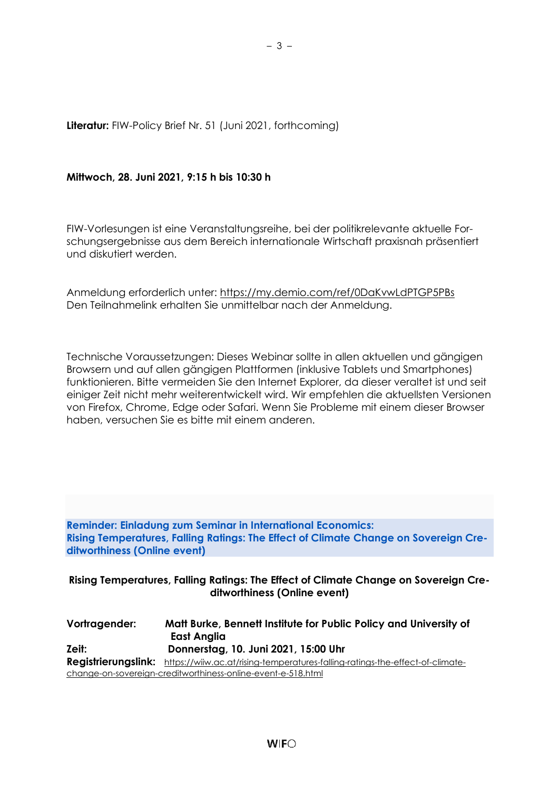**Literatur:** FIW-Policy Brief Nr. 51 (Juni 2021, forthcoming)

#### **Mittwoch, 28. Juni 2021, 9:15 h bis 10:30 h**

FIW-Vorlesungen ist eine Veranstaltungsreihe, bei der politikrelevante aktuelle Forschungsergebnisse aus dem Bereich internationale Wirtschaft praxisnah präsentiert und diskutiert werden.

Anmeldung erforderlich unter:<https://my.demio.com/ref/0DaKvwLdPTGP5PBs> Den Teilnahmelink erhalten Sie unmittelbar nach der Anmeldung.

Technische Voraussetzungen: Dieses Webinar sollte in allen aktuellen und gängigen Browsern und auf allen gängigen Plattformen (inklusive Tablets und Smartphones) funktionieren. Bitte vermeiden Sie den Internet Explorer, da dieser veraltet ist und seit einiger Zeit nicht mehr weiterentwickelt wird. Wir empfehlen die aktuellsten Versionen von Firefox, Chrome, Edge oder Safari. Wenn Sie Probleme mit einem dieser Browser haben, versuchen Sie es bitte mit einem anderen.

**Reminder: Einladung zum Seminar in International Economics: Rising Temperatures, Falling Ratings: The Effect of Climate Change on Sovereign Creditworthiness (Online event)**

#### **Rising Temperatures, Falling Ratings: The Effect of Climate Change on Sovereign Creditworthiness (Online event)**

| Vortragender:                                                | Matt Burke, Bennett Institute for Public Policy and University of<br>East Anglia                  |
|--------------------------------------------------------------|---------------------------------------------------------------------------------------------------|
| Zeit:                                                        | Donnerstag, 10. Juni 2021, 15:00 Uhr                                                              |
|                                                              | Registrierungslink: https://wiiw.ac.at/rising-temperatures-falling-ratings-the-effect-of-climate- |
| change-on-sovereign-creditworthiness-online-event-e-518.html |                                                                                                   |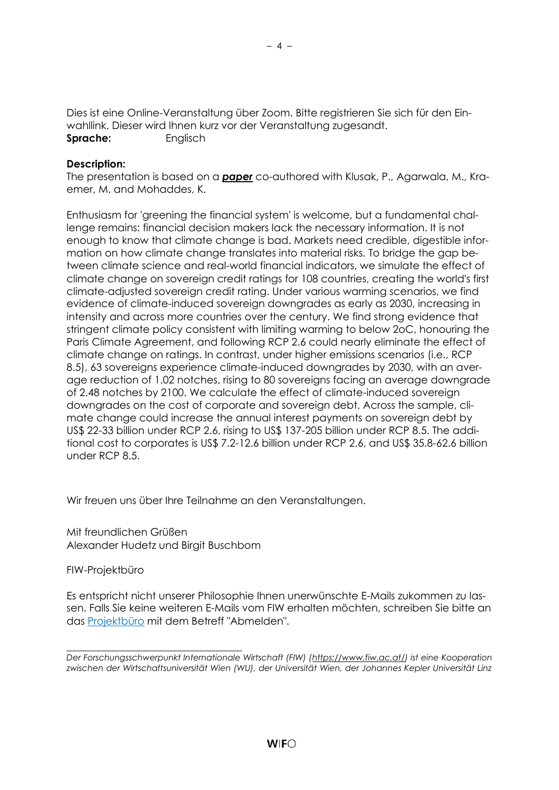Dies ist eine Online-Veranstaltung über Zoom. Bitte registrieren Sie sich für den Einwahllink. Dieser wird Ihnen kurz vor der Veranstaltung zugesandt. **Sprache:** Englisch

#### **Description:**

The presentation is based on a *[paper](https://ideas.repec.org/p/cam/camdae/2127.html)* co-authored with Klusak, P., Agarwala, M., Kraemer, M. and Mohaddes, K.

Enthusiasm for 'greening the financial system' is welcome, but a fundamental challenge remains: financial decision makers lack the necessary information. It is not enough to know that climate change is bad. Markets need credible, digestible information on how climate change translates into material risks. To bridge the gap between climate science and real-world financial indicators, we simulate the effect of climate change on sovereign credit ratings for 108 countries, creating the world's first climate-adjusted sovereign credit rating. Under various warming scenarios, we find evidence of climate-induced sovereign downgrades as early as 2030, increasing in intensity and across more countries over the century. We find strong evidence that stringent climate policy consistent with limiting warming to below 2oC, honouring the Paris Climate Agreement, and following RCP 2.6 could nearly eliminate the effect of climate change on ratings. In contrast, under higher emissions scenarios (i.e., RCP 8.5), 63 sovereigns experience climate-induced downgrades by 2030, with an average reduction of 1.02 notches, rising to 80 sovereigns facing an average downgrade of 2.48 notches by 2100. We calculate the effect of climate-induced sovereign downgrades on the cost of corporate and sovereign debt. Across the sample, climate change could increase the annual interest payments on sovereign debt by US\$ 22-33 billion under RCP 2.6, rising to US\$ 137-205 billion under RCP 8.5. The additional cost to corporates is US\$ 7.2-12.6 billion under RCP 2.6, and US\$ 35.8-62.6 billion under RCP 8.5.

Wir freuen uns über Ihre Teilnahme an den Veranstaltungen.

Mit freundlichen Grüßen Alexander Hudetz und Birgit Buschbom

\_\_\_\_\_\_\_\_\_\_\_\_\_\_\_\_\_\_\_\_\_\_\_\_\_\_\_\_\_\_\_\_\_\_

#### FIW-Projektbüro

Es entspricht nicht unserer Philosophie Ihnen unerwünschte E-Mails zukommen zu lassen. Falls Sie keine weiteren E-Mails vom FIW erhalten möchten, schreiben Sie bitte an das [Projektbüro](mailto:fiw-pb@fiw.at) mit dem Betreff "Abmelden".

*Der Forschungsschwerpunkt Internationale Wirtschaft (FIW) [\(https://www.fiw.ac.at/\)](https://www.fiw.ac.at/) ist eine Kooperation zwischen der Wirtschaftsuniversität Wien (WU), der Universität Wien, der Johannes Kepler Universität Linz*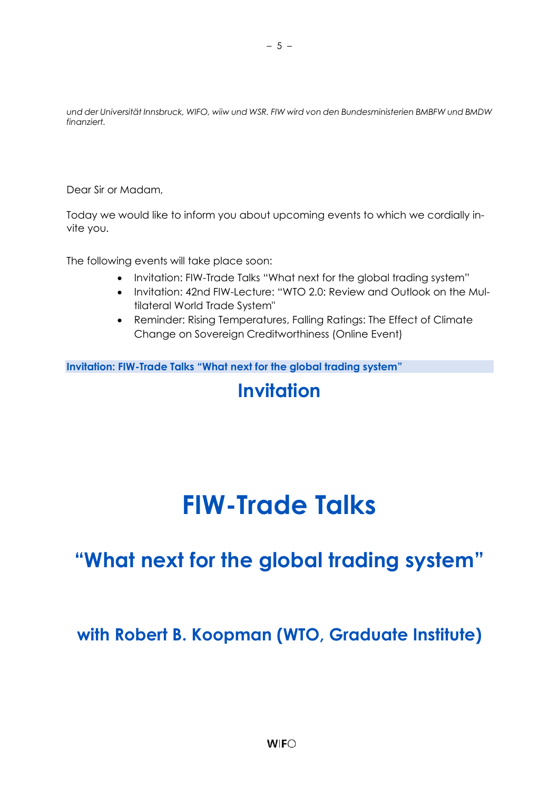*und der Universität Innsbruck, WIFO, wiiw und WSR. FIW wird von den Bundesministerien BMBFW und BMDW finanziert.*

<span id="page-4-0"></span>Dear Sir or Madam,

Today we would like to inform you about upcoming events to which we cordially invite you.

The following events will take place soon:

- Invitation: FIW-Trade Talks "What next for the global trading system"
- Invitation: 42nd FIW-Lecture: "WTO 2.0: Review and Outlook on the Multilateral World Trade System"
- Reminder: Rising Temperatures, Falling Ratings: The Effect of Climate Change on Sovereign Creditworthiness (Online Event)

**Invitation: FIW-Trade Talks "What next for the global trading system"**

### **Invitation**

# **FIW-Trade Talks**

## **"What next for the global trading system"**

### **with Robert B. Koopman (WTO, Graduate Institute)**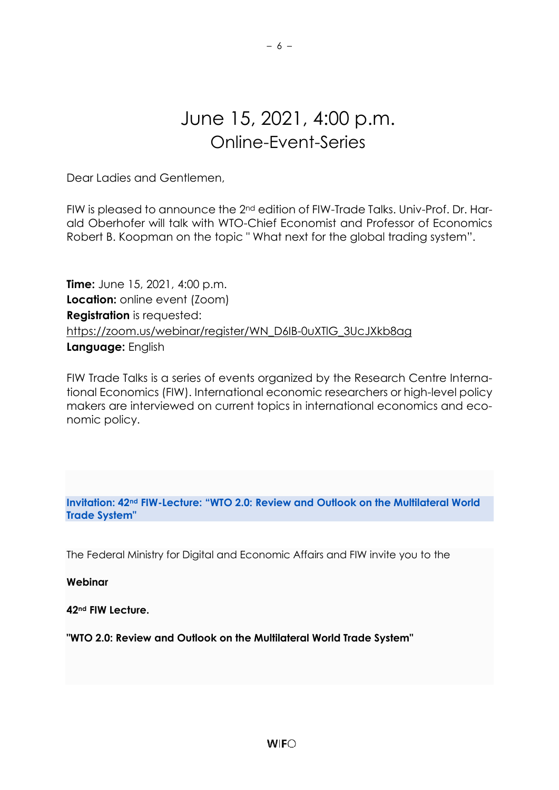### June 15, 2021, 4:00 p.m. Online-Event-Series

– 6 –

Dear Ladies and Gentlemen,

FIW is pleased to announce the 2nd edition of FIW-Trade Talks. Univ-Prof. Dr. Harald Oberhofer will talk with WTO-Chief Economist and Professor of Economics Robert B. Koopman on the topic " What next for the global trading system".

**Time:** June 15, 2021, 4:00 p.m. **Location:** online event (Zoom) **Registration** is requested: [https://zoom.us/webinar/register/WN\\_D6IB-0uXTlG\\_3UcJXkb8ag](https://zoom.us/webinar/register/WN_D6IB-0uXTlG_3UcJXkb8ag) **Language:** English

FIW Trade Talks is a series of events organized by the Research Centre International Economics (FIW). International economic researchers or high-level policy makers are interviewed on current topics in international economics and economic policy.

**Invitation: 42nd FIW-Lecture: "WTO 2.0: Review and Outlook on the Multilateral World Trade System"**

The Federal Ministry for Digital and Economic Affairs and FIW invite you to the

**Webinar**

**42nd FIW Lecture.**

**"WTO 2.0: Review and Outlook on the Multilateral World Trade System"**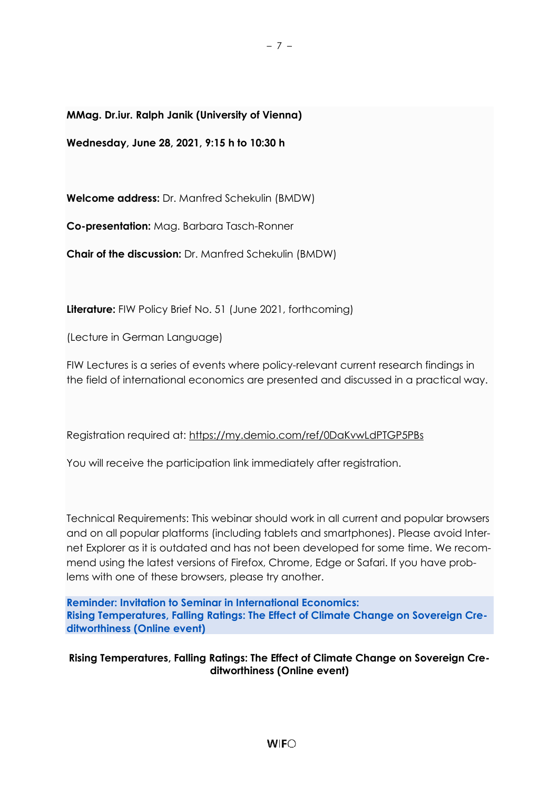**MMag. Dr.iur. Ralph Janik (University of Vienna)**

**Wednesday, June 28, 2021, 9:15 h to 10:30 h** 

**Welcome address:** Dr. Manfred Schekulin (BMDW)

**Co-presentation:** Mag. Barbara Tasch-Ronner

**Chair of the discussion:** Dr. Manfred Schekulin (BMDW)

**Literature:** FIW Policy Brief No. 51 (June 2021, forthcoming)

(Lecture in German Language)

FIW Lectures is a series of events where policy-relevant current research findings in the field of international economics are presented and discussed in a practical way.

– 7 –

Registration required at:<https://my.demio.com/ref/0DaKvwLdPTGP5PBs>

You will receive the participation link immediately after registration.

Technical Requirements: This webinar should work in all current and popular browsers and on all popular platforms (including tablets and smartphones). Please avoid Internet Explorer as it is outdated and has not been developed for some time. We recommend using the latest versions of Firefox, Chrome, Edge or Safari. If you have problems with one of these browsers, please try another.

**Reminder: Invitation to Seminar in International Economics: Rising Temperatures, Falling Ratings: The Effect of Climate Change on Sovereign Creditworthiness (Online event)**

#### **Rising Temperatures, Falling Ratings: The Effect of Climate Change on Sovereign Creditworthiness (Online event)**

 $W$ <sub>IF</sub> $\bigcirc$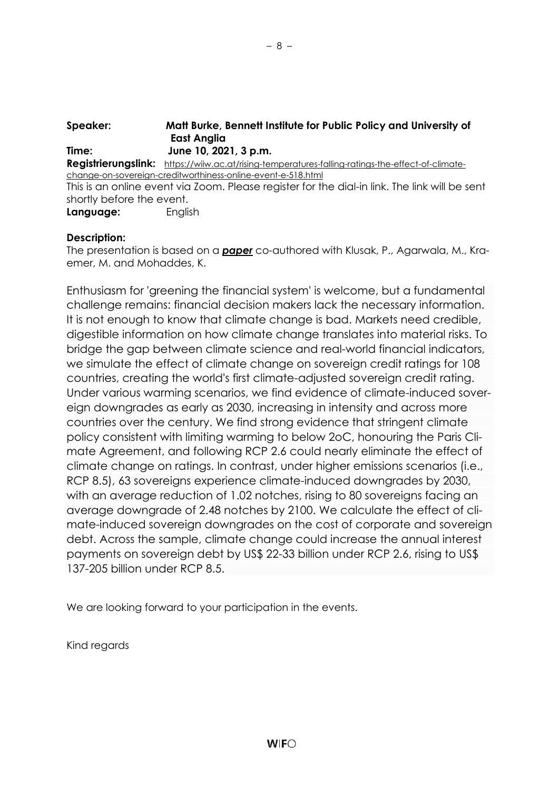| Speaker:                  | Matt Burke, Bennett Institute for Public Policy and University of                                 |
|---------------------------|---------------------------------------------------------------------------------------------------|
|                           | <b>East Anglia</b>                                                                                |
| Time:                     | June 10, 2021, 3 p.m.                                                                             |
|                           | Registrierungslink: https://wiiw.ac.at/rising-temperatures-falling-ratings-the-effect-of-climate- |
|                           | change-on-sovereign-creditworthiness-online-event-e-518.html                                      |
|                           | This is an online event via Zoom. Please register for the dial-in link. The link will be sent     |
| shortly before the event. |                                                                                                   |
| Language:                 | English                                                                                           |

#### **Description:**

The presentation is based on a *[paper](https://ideas.repec.org/p/cam/camdae/2127.html)* co-authored with Klusak, P., Agarwala, M., Kraemer, M. and Mohaddes, K.

Enthusiasm for 'greening the financial system' is welcome, but a fundamental challenge remains: financial decision makers lack the necessary information. It is not enough to know that climate change is bad. Markets need credible, digestible information on how climate change translates into material risks. To bridge the gap between climate science and real-world financial indicators, we simulate the effect of climate change on sovereign credit ratings for 108 countries, creating the world's first climate-adjusted sovereign credit rating. Under various warming scenarios, we find evidence of climate-induced sovereign downgrades as early as 2030, increasing in intensity and across more countries over the century. We find strong evidence that stringent climate policy consistent with limiting warming to below 2oC, honouring the Paris Climate Agreement, and following RCP 2.6 could nearly eliminate the effect of climate change on ratings. In contrast, under higher emissions scenarios (i.e., RCP 8.5), 63 sovereigns experience climate-induced downgrades by 2030, with an average reduction of 1.02 notches, rising to 80 sovereigns facing an average downgrade of 2.48 notches by 2100. We calculate the effect of climate-induced sovereign downgrades on the cost of corporate and sovereign debt. Across the sample, climate change could increase the annual interest payments on sovereign debt by US\$ 22-33 billion under RCP 2.6, rising to US\$ 137-205 billion under RCP 8.5.

We are looking forward to your participation in the events.

Kind regards